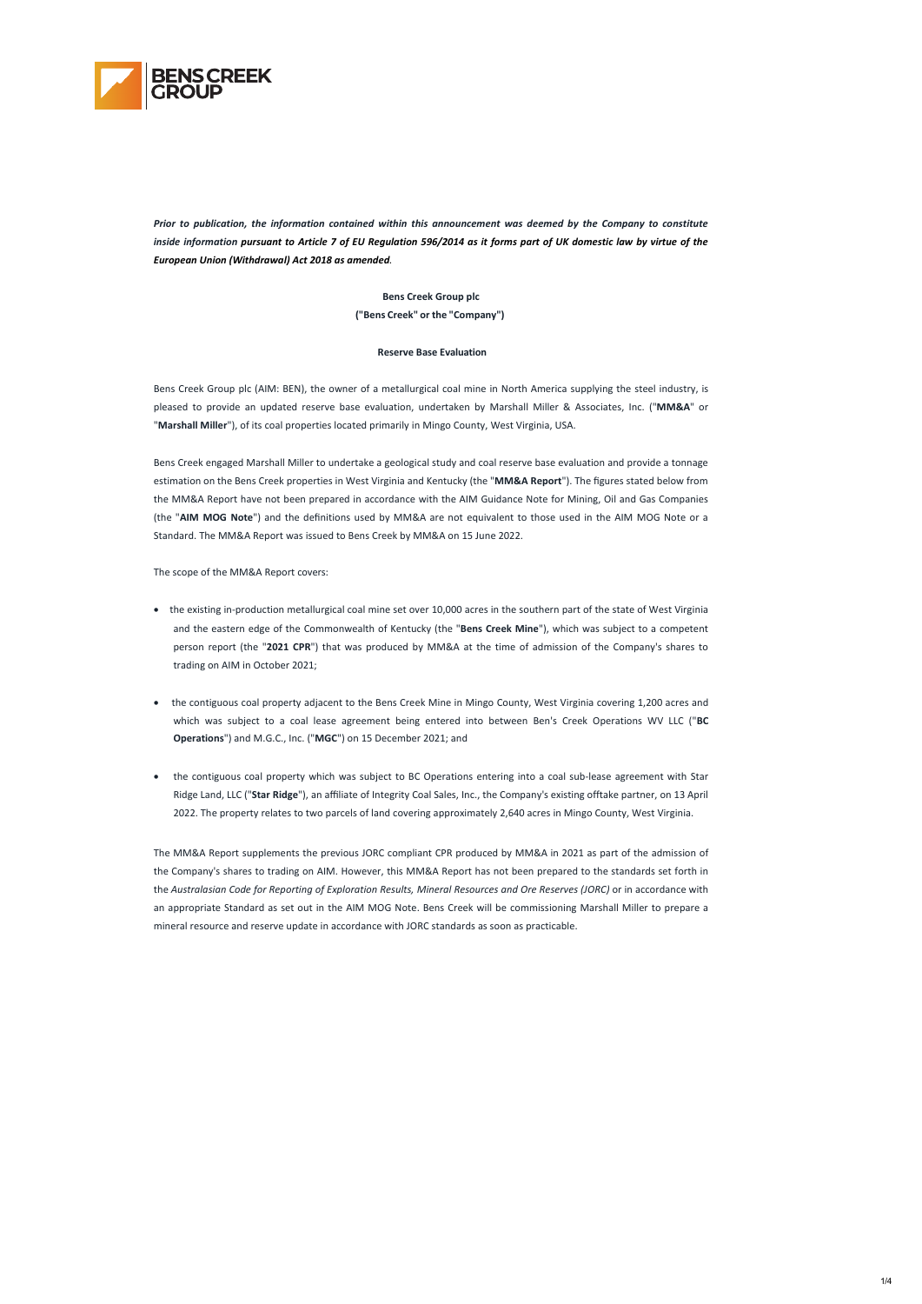1/4



*Prior to publication, the information contained within this announcement was deemed by the Company to constitute inside information pursuant to Article 7 of EU Regulation 596/2014 as it forms part of UK domestic law by virtue of the European Union (Withdrawal) Act 2018 as amended.* 

> **Bens Creek Group plc ("Bens Creek" or the "Company")**

#### **Reserve Base Evaluation**

Bens Creek Group plc (AIM: BEN), the owner of a metallurgical coal mine in North America supplying the steel industry, is pleased to provide an updated reserve base evaluation, undertaken by Marshall Miller & Associates, Inc. ("**MM&A**" or "**Marshall Miller**"), of its coal properties located primarily in Mingo County, West Virginia, USA.

Bens Creek engaged Marshall Miller to undertake a geological study and coal reserve base evaluation and provide a tonnage estimation on the Bens Creek properties in West Virginia and Kentucky (the "**MM&A Report**"). The figures stated below from the MM&A Report have not been prepared in accordance with the AIM Guidance Note for Mining, Oil and Gas Companies (the "**AIM MOG Note**") and the definitions used by MM&A are not equivalent to those used in the AIM MOG Note or a Standard. The MM&A Report was issued to Bens Creek by MM&A on 15 June 2022.

The scope of the MM&A Report covers:

- the existing in-production metallurgical coal mine set over 10,000 acres in the southern part of the state of West Virginia and the eastern edge of the Commonwealth of Kentucky (the "**Bens Creek Mine**"), which was subject to a competent person report (the "**2021 CPR**") that was produced by MM&A at the time of admission of the Company's shares to trading on AIM in October 2021;
- the contiguous coal property adjacent to the Bens Creek Mine in Mingo County, West Virginia covering 1,200 acres and which was subject to a coal lease agreement being entered into between Ben's Creek Operations WV LLC ("**BC Operations**") and M.G.C., Inc. ("**MGC**") on 15 December 2021; and
- the contiguous coal property which was subject to BC Operations entering into a coal sub-lease agreement with Star Ridge Land, LLC ("**Star Ridge**"), an affiliate of Integrity Coal Sales, Inc., the Company's existing offtake partner, on 13 April 2022. The property relates to two parcels of land covering approximately 2,640 acres in Mingo County, West Virginia.

The MM&A Report supplements the previous JORC compliant CPR produced by MM&A in 2021 as part of the admission of the Company's shares to trading on AIM. However, this MM&A Report has not been prepared to the standards set forth in the *Australasian Code for Reporting of Exploration Results, Mineral Resources and Ore Reserves (JORC)* or in accordance with an appropriate Standard as set out in the AIM MOG Note. Bens Creek will be commissioning Marshall Miller to prepare a mineral resource and reserve update in accordance with JORC standards as soon as practicable.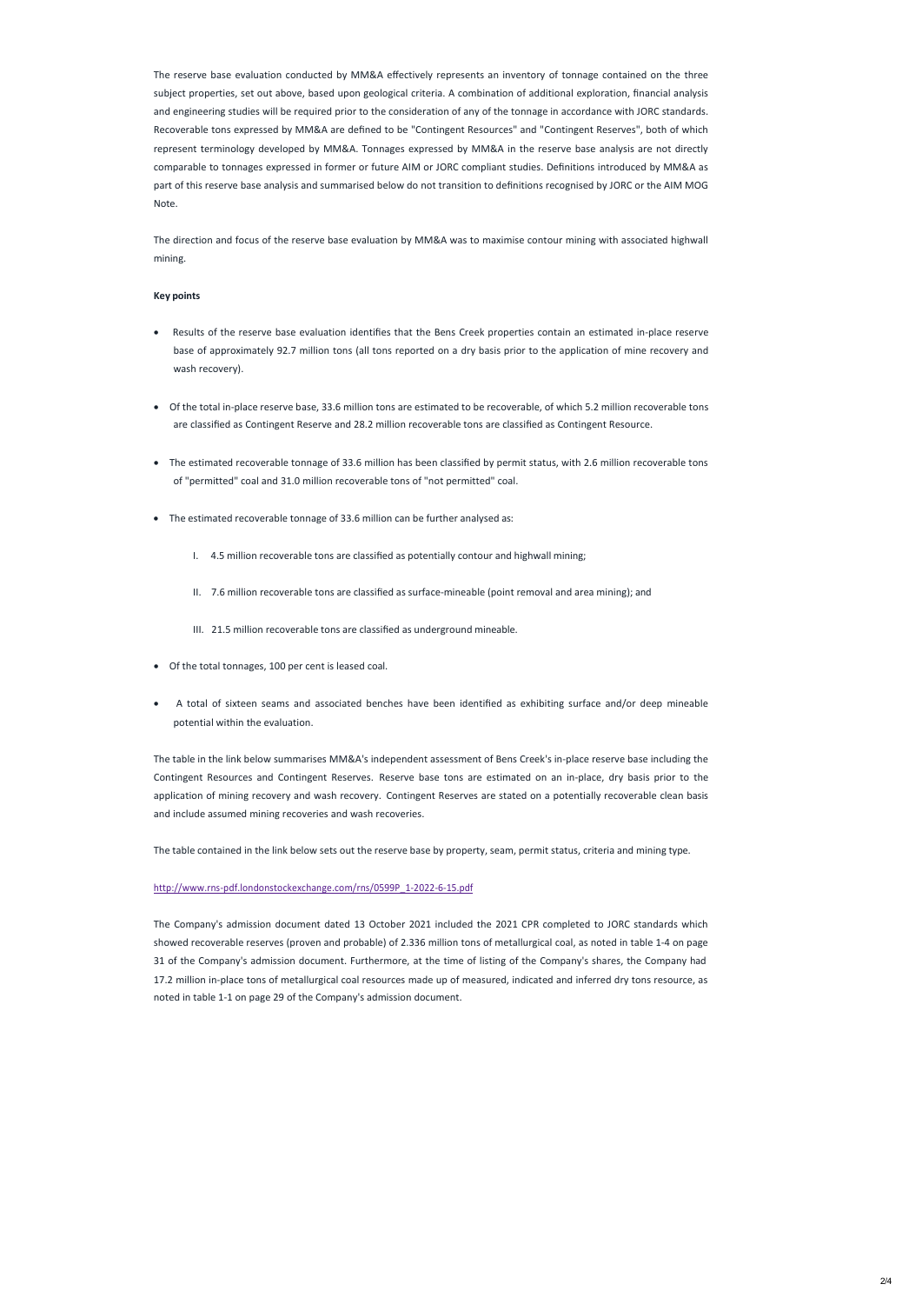The reserve base evaluation conducted by MM&A effectively represents an inventory of tonnage contained on the three subject properties, set out above, based upon geological criteria. A combination of additional exploration, financial analysis and engineering studies will be required prior to the consideration of any of the tonnage in accordance with JORC standards. Recoverable tons expressed by MM&A are defined to be "Contingent Resources" and "Contingent Reserves", both of which represent terminology developed by MM&A. Tonnages expressed by MM&A in the reserve base analysis are not directly comparable to tonnages expressed in former or future AIM or JORC compliant studies. Definitions introduced by MM&A as part of this reserve base analysis and summarised below do not transition to definitions recognised by JORC or the AIM MOG Note.

The direction and focus of the reserve base evaluation by MM&A was to maximise contour mining with associated highwall mining.

### **Key points**

- Results of the reserve base evaluation identifies that the Bens Creek properties contain an estimated in-place reserve base of approximately 92.7 million tons (all tons reported on a dry basis prior to the application of mine recovery and wash recovery).
- Of the total in-place reserve base, 33.6 million tons are estimated to be recoverable, of which 5.2 million recoverable tons are classified as Contingent Reserve and 28.2 million recoverable tons are classified as Contingent Resource.
- The estimated recoverable tonnage of 33.6 million has been classified by permit status, with 2.6 million recoverable tons of "permitted" coal and 31.0 million recoverable tons of "not permitted" coal.
- The estimated recoverable tonnage of 33.6 million can be further analysed as:
	- I. 4.5 million recoverable tons are classified as potentially contour and highwall mining;
	- II. 7.6 million recoverable tons are classified as surface-mineable (point removal and area mining); and
	- III. 21.5 million recoverable tons are classified as underground mineable.
- Of the total tonnages, 100 per cent is leased coal.
- A total of sixteen seams and associated benches have been identified as exhibiting surface and/or deep mineable potential within the evaluation.

The table in the link below summarises MM&A's independent assessment of Bens Creek's in-place reserve base including the Contingent Resources and Contingent Reserves. Reserve base tons are estimated on an in-place, dry basis prior to the application of mining recovery and wash recovery. Contingent Reserves are stated on a potentially recoverable clean basis and include assumed mining recoveries and wash recoveries.

The table contained in the link below sets out the reserve base by property, seam, permit status, criteria and mining type.

### http://www.rns-[pdf.londonstockexchange.com/rns/0599P\\_1](http://www.rns-pdf.londonstockexchange.com/rns/0599P_1-2022-6-15.pdf)-2022-6-15.pdf

The Company's admission document dated 13 October 2021 included the 2021 CPR completed to JORC standards which showed recoverable reserves (proven and probable) of 2.336 million tons of metallurgical coal, as noted in table 1-4 on page 31 of the Company's admission document. Furthermore, at the time of listing of the Company's shares, the Company had 17.2 million in-place tons of metallurgical coal resources made up of measured, indicated and inferred dry tons resource, as

noted in table 1-1 on page 29 of the Company's admission document.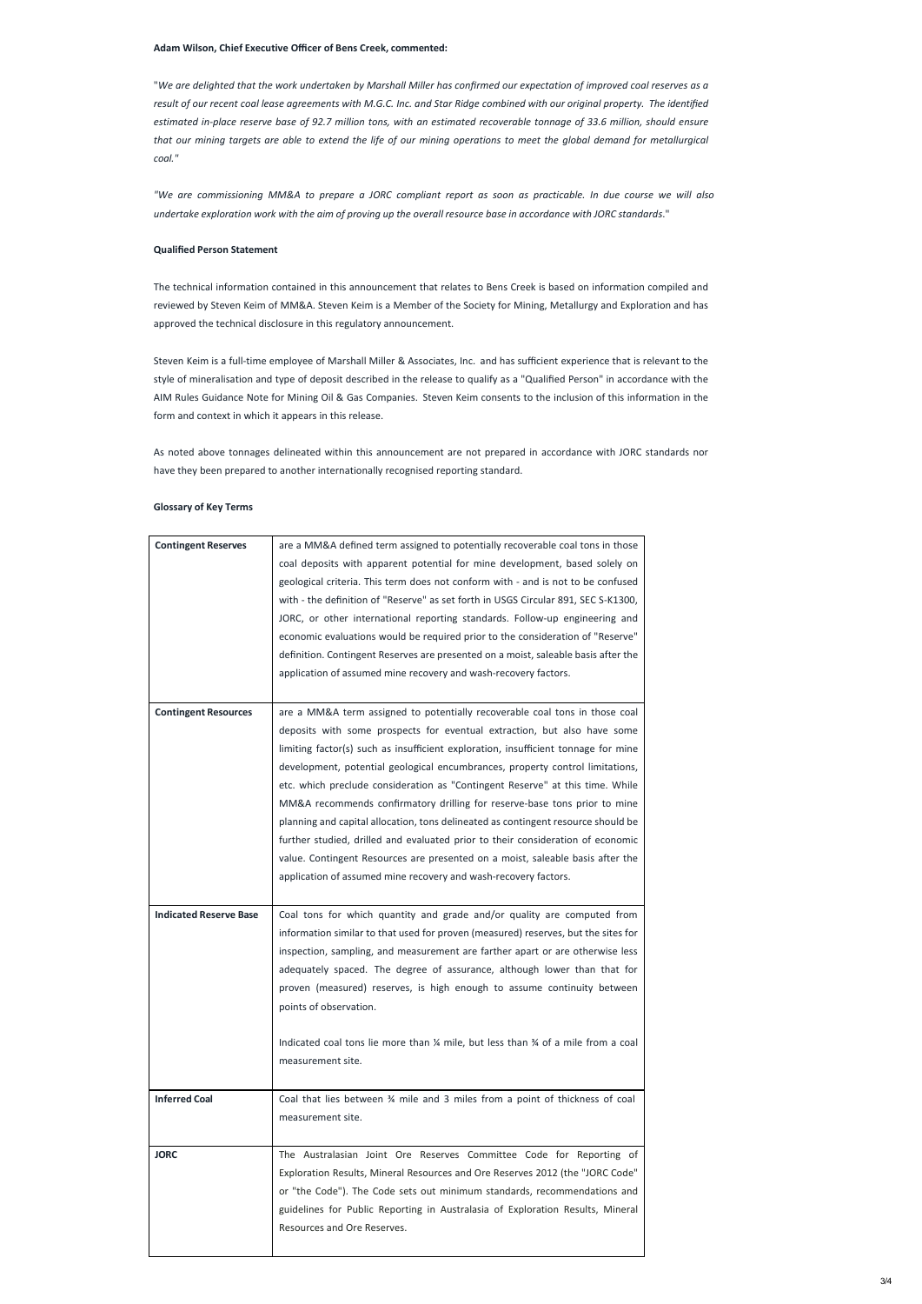### **Adam Wilson, Chief Executive Officer of Bens Creek, commented:**

*"We are commissioning MM&A to prepare a JORC compliant report as soon as practicable. In due course we will also*  undertake exploration work with the aim of proving up the overall resource base in accordance with JORC standards."

"*We are delighted that the work undertaken by Marshall Miller has confirmed our expectation of improved coal reserves as a*  result of our recent coal lease agreements with M.G.C. Inc. and Star Ridge combined with our original property. The identified *estimated in-place reserve base of 92.7 million tons, with an estimated recoverable tonnage of 33.6 million, should ensure that our mining targets are able to extend the life of our mining operations to meet the global demand for metallurgical coal."*

# **Qualified Person Statement**

The technical information contained in this announcement that relates to Bens Creek is based on information compiled and reviewed by Steven Keim of MM&A. Steven Keim is a Member of the Society for Mining, Metallurgy and Exploration and has approved the technical disclosure in this regulatory announcement.

Steven Keim is a full-time employee of Marshall Miller & Associates, Inc. and has sufficient experience that is relevant to the style of mineralisation and type of deposit described in the release to qualify as a "Qualified Person" in accordance with the AIM Rules Guidance Note for Mining Oil & Gas Companies. Steven Keim consents to the inclusion of this information in the form and context in which it appears in this release.

As noted above tonnages delineated within this announcement are not prepared in accordance with JORC standards nor have they been prepared to another internationally recognised reporting standard.

### **Glossary of Key Terms**

| <b>Contingent Reserves</b>    | are a MM&A defined term assigned to potentially recoverable coal tons in those     |
|-------------------------------|------------------------------------------------------------------------------------|
|                               | coal deposits with apparent potential for mine development, based solely on        |
|                               | geological criteria. This term does not conform with - and is not to be confused   |
|                               | with - the definition of "Reserve" as set forth in USGS Circular 891, SEC S-K1300, |
|                               | JORC, or other international reporting standards. Follow-up engineering and        |
|                               | economic evaluations would be required prior to the consideration of "Reserve"     |
|                               | definition. Contingent Reserves are presented on a moist, saleable basis after the |
|                               | application of assumed mine recovery and wash-recovery factors.                    |
|                               |                                                                                    |
| <b>Contingent Resources</b>   | are a MM&A term assigned to potentially recoverable coal tons in those coal        |
|                               | deposits with some prospects for eventual extraction, but also have some           |
|                               | limiting factor(s) such as insufficient exploration, insufficient tonnage for mine |
|                               | development, potential geological encumbrances, property control limitations,      |
|                               | etc. which preclude consideration as "Contingent Reserve" at this time. While      |
|                               | MM&A recommends confirmatory drilling for reserve-base tons prior to mine          |
|                               | planning and capital allocation, tons delineated as contingent resource should be  |
|                               | further studied, drilled and evaluated prior to their consideration of economic    |
|                               | value. Contingent Resources are presented on a moist, saleable basis after the     |
|                               | application of assumed mine recovery and wash-recovery factors.                    |
|                               |                                                                                    |
|                               |                                                                                    |
| <b>Indicated Reserve Base</b> | Coal tons for which quantity and grade and/or quality are computed from            |
|                               | information similar to that used for proven (measured) reserves, but the sites for |
|                               | inspection, sampling, and measurement are farther apart or are otherwise less      |
|                               | adequately spaced. The degree of assurance, although lower than that for           |
|                               | proven (measured) reserves, is high enough to assume continuity between            |
|                               | points of observation.                                                             |
|                               |                                                                                    |
|                               | Indicated coal tons lie more than % mile, but less than % of a mile from a coal    |
|                               | measurement site.                                                                  |
|                               |                                                                                    |
| <b>Inferred Coal</b>          | Coal that lies between % mile and 3 miles from a point of thickness of coal        |
|                               | measurement site.                                                                  |
|                               |                                                                                    |
| <b>JORC</b>                   | The Australasian Joint Ore Reserves Committee Code for Reporting of                |
|                               | Exploration Results, Mineral Resources and Ore Reserves 2012 (the "JORC Code"      |
|                               | or "the Code"). The Code sets out minimum standards, recommendations and           |
|                               | guidelines for Public Reporting in Australasia of Exploration Results, Mineral     |
|                               | Resources and Ore Reserves.                                                        |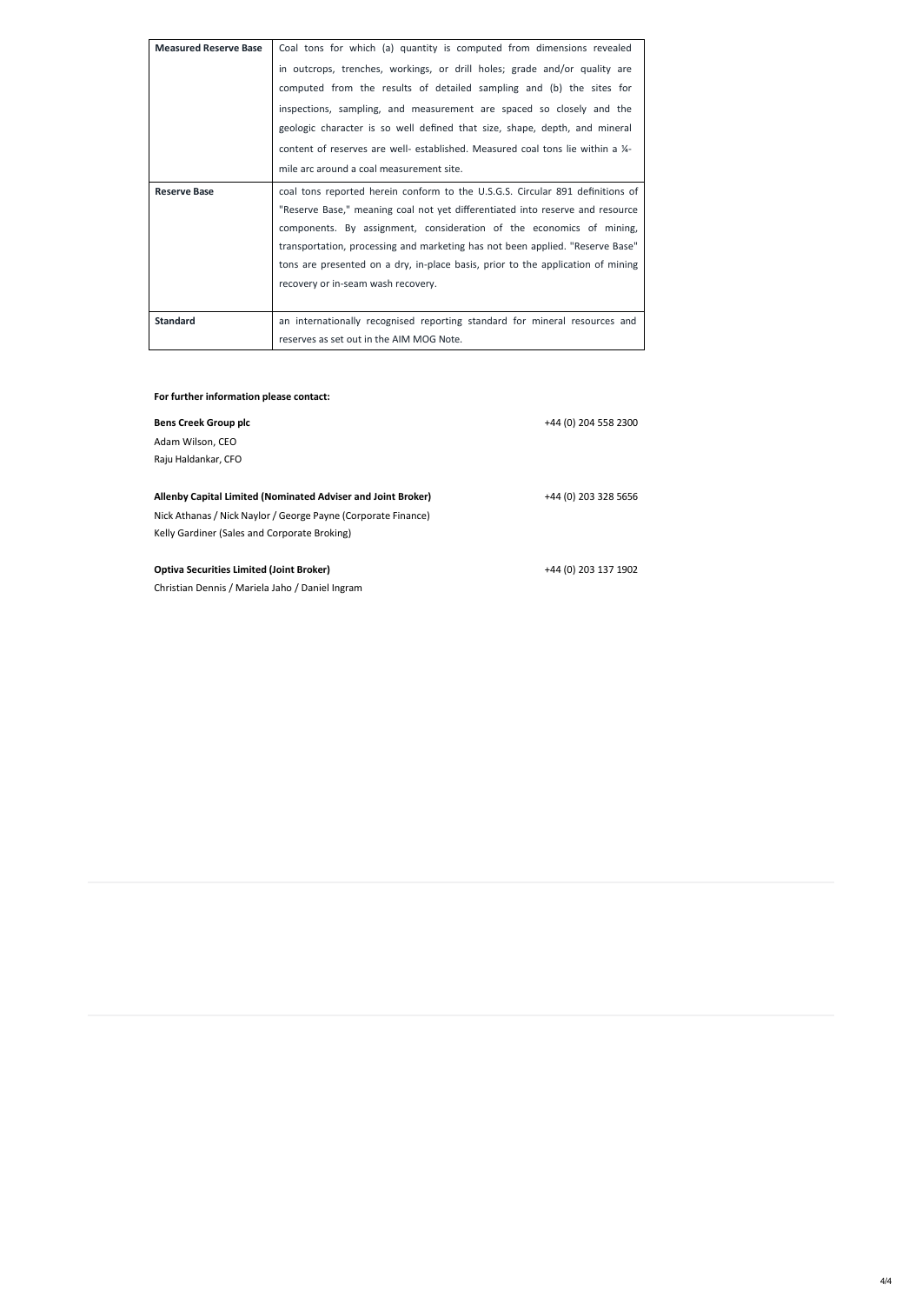4/4

| <b>Measured Reserve Base</b> | Coal tons for which (a) quantity is computed from dimensions revealed           |
|------------------------------|---------------------------------------------------------------------------------|
|                              | in outcrops, trenches, workings, or drill holes; grade and/or quality are       |
|                              | computed from the results of detailed sampling and (b) the sites for            |
|                              | inspections, sampling, and measurement are spaced so closely and the            |
|                              | geologic character is so well defined that size, shape, depth, and mineral      |
|                              | content of reserves are well- established. Measured coal tons lie within a 1/4- |
|                              | mile arc around a coal measurement site.                                        |
| <b>Reserve Base</b>          | coal tons reported herein conform to the U.S.G.S. Circular 891 definitions of   |
|                              | "Reserve Base," meaning coal not yet differentiated into reserve and resource   |
|                              | components. By assignment, consideration of the economics of mining,            |
|                              | transportation, processing and marketing has not been applied. "Reserve Base"   |
|                              | tons are presented on a dry, in-place basis, prior to the application of mining |
|                              | recovery or in-seam wash recovery.                                              |
|                              |                                                                                 |
| <b>Standard</b>              | an internationally recognised reporting standard for mineral resources and      |
|                              | reserves as set out in the AIM MOG Note.                                        |

# **For further information please contact:**

| <b>Bens Creek Group plc</b>                                   | +44 (0) 204 558 2300 |
|---------------------------------------------------------------|----------------------|
| Adam Wilson, CEO                                              |                      |
| Raju Haldankar, CFO                                           |                      |
|                                                               |                      |
| Allenby Capital Limited (Nominated Adviser and Joint Broker)  | +44 (0) 203 328 5656 |
| Nick Athanas / Nick Naylor / George Payne (Corporate Finance) |                      |
| Kelly Gardiner (Sales and Corporate Broking)                  |                      |
|                                                               |                      |
| <b>Optiva Securities Limited (Joint Broker)</b>               | +44 (0) 203 137 1902 |
| Christian Dennis / Mariela Jaho / Daniel Ingram               |                      |